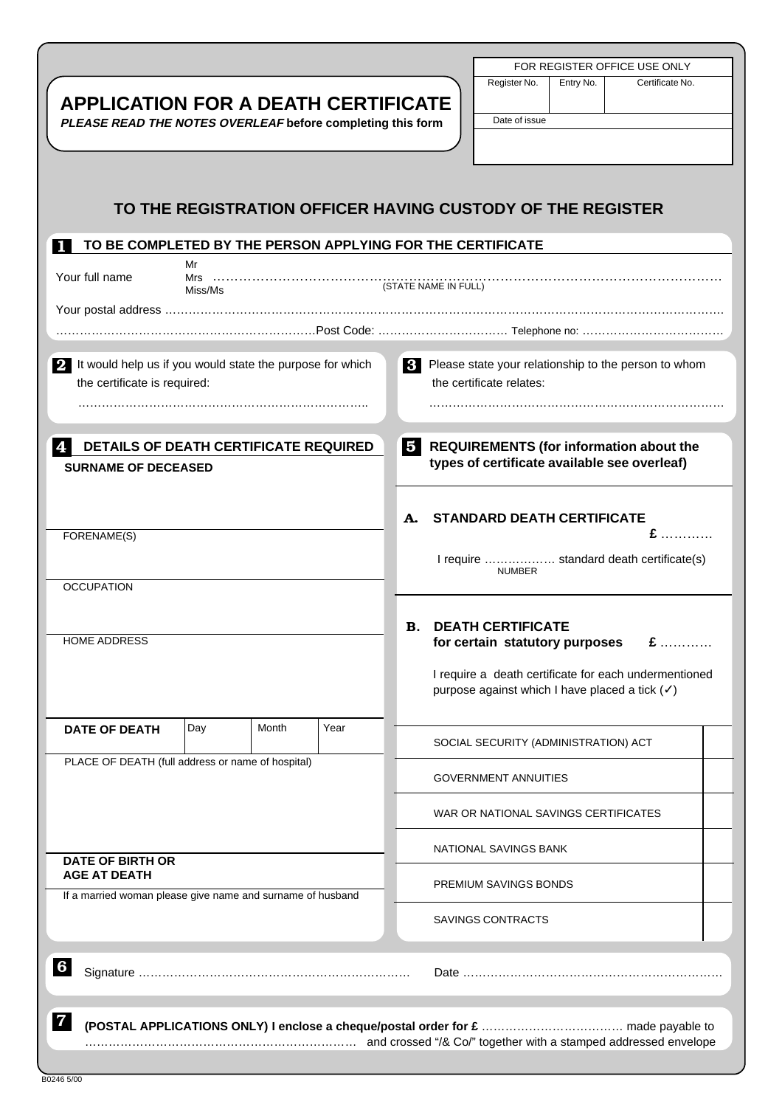| <b>APPLICATION FOR A DEATH CERTIFICATE</b><br>PLEASE READ THE NOTES OVERLEAF before completing this form     |     |       |      |                       |                       | FOR REGISTER OFFICE USE ONLY<br>Register No.<br>Entry No.<br>Certificate No.<br>Date of issue           |  |  |
|--------------------------------------------------------------------------------------------------------------|-----|-------|------|-----------------------|-----------------------|---------------------------------------------------------------------------------------------------------|--|--|
| TO THE REGISTRATION OFFICER HAVING CUSTODY OF THE REGISTER                                                   |     |       |      |                       |                       |                                                                                                         |  |  |
| TO BE COMPLETED BY THE PERSON APPLYING FOR THE CERTIFICATE                                                   |     |       |      |                       |                       |                                                                                                         |  |  |
| Mr<br>Your full name<br>Mrs<br>Miss/Ms                                                                       |     |       |      |                       |                       |                                                                                                         |  |  |
|                                                                                                              |     |       |      |                       |                       |                                                                                                         |  |  |
|                                                                                                              |     |       |      |                       |                       |                                                                                                         |  |  |
| 2 It would help us if you would state the purpose for which<br>the certificate is required:                  |     |       |      |                       |                       | <b>3</b> Please state your relationship to the person to whom<br>the certificate relates:               |  |  |
|                                                                                                              |     |       |      |                       |                       |                                                                                                         |  |  |
| DETAILS OF DEATH CERTIFICATE REQUIRED<br><b>SURNAME OF DECEASED</b>                                          |     |       |      | Б.                    |                       | REQUIREMENTS (for information about the<br>types of certificate available see overleaf)                 |  |  |
|                                                                                                              |     |       |      |                       |                       |                                                                                                         |  |  |
|                                                                                                              |     |       |      |                       |                       |                                                                                                         |  |  |
| FORENAME(S)                                                                                                  |     |       |      | А.                    |                       | <b>STANDARD DEATH CERTIFICATE</b><br>£<br>.                                                             |  |  |
|                                                                                                              |     |       |      |                       |                       | I require  standard death certificate(s)                                                                |  |  |
|                                                                                                              |     |       |      |                       |                       | <b>NUMBER</b>                                                                                           |  |  |
| <b>OCCUPATION</b>                                                                                            |     |       |      |                       |                       |                                                                                                         |  |  |
|                                                                                                              |     |       |      | В.                    |                       | <b>DEATH CERTIFICATE</b>                                                                                |  |  |
| <b>HOME ADDRESS</b>                                                                                          |     |       |      |                       |                       | for certain statutory purposes<br>$E$                                                                   |  |  |
|                                                                                                              |     |       |      |                       |                       | I require a death certificate for each undermentioned<br>purpose against which I have placed a tick (√) |  |  |
| <b>DATE OF DEATH</b>                                                                                         | Day | Month | Year |                       |                       |                                                                                                         |  |  |
| PLACE OF DEATH (full address or name of hospital)                                                            |     |       |      |                       |                       | SOCIAL SECURITY (ADMINISTRATION) ACT                                                                    |  |  |
|                                                                                                              |     |       |      |                       |                       | <b>GOVERNMENT ANNUITIES</b>                                                                             |  |  |
|                                                                                                              |     |       |      |                       |                       | WAR OR NATIONAL SAVINGS CERTIFICATES                                                                    |  |  |
| <b>DATE OF BIRTH OR</b><br><b>AGE AT DEATH</b><br>If a married woman please give name and surname of husband |     |       |      |                       | NATIONAL SAVINGS BANK |                                                                                                         |  |  |
|                                                                                                              |     |       |      | PREMIUM SAVINGS BONDS |                       |                                                                                                         |  |  |
|                                                                                                              |     |       |      |                       |                       | SAVINGS CONTRACTS                                                                                       |  |  |
| 6                                                                                                            |     |       |      |                       |                       |                                                                                                         |  |  |
| 7                                                                                                            |     |       |      |                       |                       | and crossed "/& Co/" together with a stamped addressed envelope                                         |  |  |